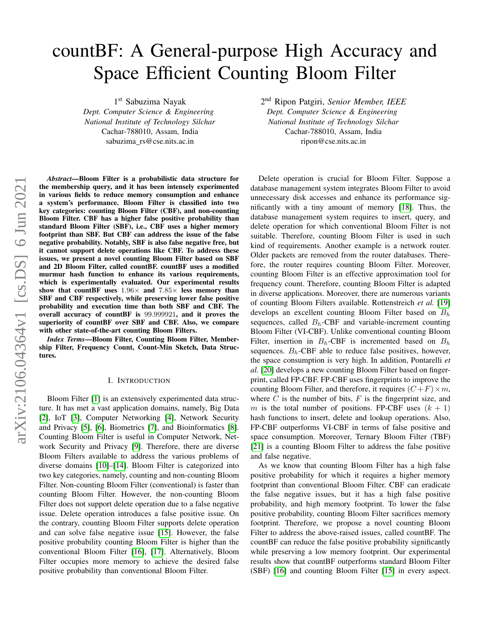# countBF: A General-purpose High Accuracy and Space Efficient Counting Bloom Filter

1st Sabuzima Nayak

*Dept. Computer Science & Engineering National Institute of Technology Silchar* Cachar-788010, Assam, India sabuzima rs@cse.nits.ac.in

arXiv:2106.04364v1 [cs.DS] 6 Jun 2021 arXiv:2106.04364v1 [cs.DS] 6 Jun 2021

*Abstract*—Bloom Filter is a probabilistic data structure for the membership query, and it has been intensely experimented in various fields to reduce memory consumption and enhance a system's performance. Bloom Filter is classified into two key categories: counting Bloom Filter (CBF), and non-counting Bloom Filter. CBF has a higher false positive probability than standard Bloom Filter (SBF), i.e., CBF uses a higher memory footprint than SBF. But CBF can address the issue of the false negative probability. Notably, SBF is also false negative free, but it cannot support delete operations like CBF. To address these issues, we present a novel counting Bloom Filter based on SBF and 2D Bloom Filter, called countBF. countBF uses a modified murmur hash function to enhance its various requirements, which is experimentally evaluated. Our experimental results show that countBF uses  $1.96\times$  and  $7.85\times$  less memory than SBF and CBF respectively, while preserving lower false positive probability and execution time than both SBF and CBF. The overall accuracy of countBF is 99.999921, and it proves the superiority of countBF over SBF and CBF. Also, we compare with other state-of-the-art counting Bloom Filters.

*Index Terms*—Bloom Filter, Counting Bloom Filter, Membership Filter, Frequency Count, Count-Min Sketch, Data Structures.

#### I. INTRODUCTION

Bloom Filter [\[1\]](#page-7-0) is an extensively experimented data structure. It has met a vast application domains, namely, Big Data [\[2\]](#page-7-1), IoT [\[3\]](#page-8-0), Computer Networking [\[4\]](#page-8-1), Network Security and Privacy [\[5\]](#page-8-2), [\[6\]](#page-8-3), Biometrics [\[7\]](#page-8-4), and Bioinformatics [\[8\]](#page-8-5). Counting Bloom Filter is useful in Computer Network, Network Security and Privacy [\[9\]](#page-8-6). Therefore, there are diverse Bloom Filters available to address the various problems of diverse domains [\[10\]](#page-8-7)–[\[14\]](#page-8-8). Bloom Filter is categorized into two key categories, namely, counting and non-counting Bloom Filter. Non-counting Bloom Filter (conventional) is faster than counting Bloom Filter. However, the non-counting Bloom Filter does not support delete operation due to a false negative issue. Delete operation introduces a false positive issue. On the contrary, counting Bloom Filter supports delete operation and can solve false negative issue [\[15\]](#page-8-9). However, the false positive probability counting Bloom Filter is higher than the conventional Bloom Filter [\[16\]](#page-8-10), [\[17\]](#page-8-11). Alternatively, Bloom Filter occupies more memory to achieve the desired false positive probability than conventional Bloom Filter.

2 nd Ripon Patgiri, *Senior Member, IEEE Dept. Computer Science & Engineering National Institute of Technology Silchar* Cachar-788010, Assam, India ripon@cse.nits.ac.in

Delete operation is crucial for Bloom Filter. Suppose a database management system integrates Bloom Filter to avoid unnecessary disk accesses and enhance its performance significantly with a tiny amount of memory [\[18\]](#page-8-12). Thus, the database management system requires to insert, query, and delete operation for which conventional Bloom Filter is not suitable. Therefore, counting Bloom Filter is used in such kind of requirements. Another example is a network router. Older packets are removed from the router databases. Therefore, the router requires counting Bloom Filter. Moreover, counting Bloom Filter is an effective approximation tool for frequency count. Therefore, counting Bloom Filter is adapted in diverse applications. Moreover, there are numerous variants of counting Bloom Filters available. Rottenstreich *et al.* [\[19\]](#page-8-13) develops an excellent counting Bloom Filter based on  $B<sub>h</sub>$ sequences, called  $B_h$ -CBF and variable-increment counting Bloom Filter (VI-CBF). Unlike conventional counting Bloom Filter, insertion in  $B_h$ -CBF is incremented based on  $B_h$ sequences.  $B_h$ -CBF able to reduce false positives, however, the space consumption is very high. In addition, Pontarelli *et al.* [\[20\]](#page-8-14) develops a new counting Bloom Filter based on fingerprint, called FP-CBF. FP-CBF uses fingerprints to improve the counting Bloom Filter, and therefore, it requires  $(C+F) \times m$ , where  $C$  is the number of bits,  $F$  is the fingerprint size, and m is the total number of positions. FP-CBF uses  $(k + 1)$ hash functions to insert, delete and lookup operations. Also, FP-CBF outperforms VI-CBF in terms of false positive and space consumption. Moreover, Ternary Bloom Filter (TBF) [\[21\]](#page-8-15) is a counting Bloom Filter to address the false positive and false negative.

As we know that counting Bloom Filter has a high false positive probability for which it requires a higher memory footprint than conventional Bloom Filter. CBF can eradicate the false negative issues, but it has a high false positive probability, and high memory footprint. To lower the false positive probability, counting Bloom Filter sacrifices memory footprint. Therefore, we propose a novel counting Bloom Filter to address the above-raised issues, called countBF. The countBF can reduce the false positive probability significantly while preserving a low memory footprint. Our experimental results show that countBF outperforms standard Bloom Filter (SBF) [\[16\]](#page-8-10) and counting Bloom Filter [\[15\]](#page-8-9) in every aspect.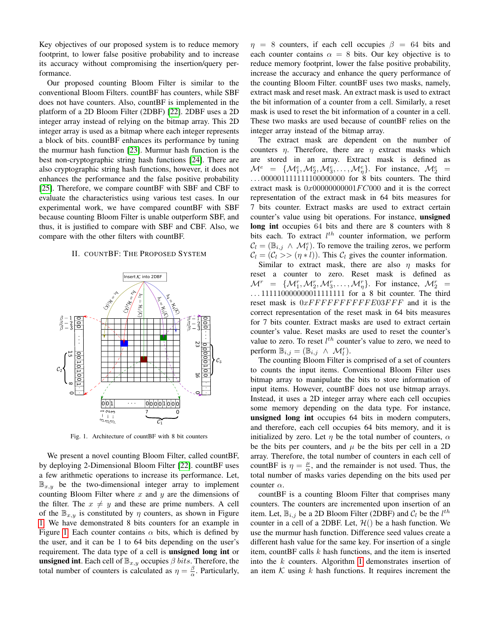Key objectives of our proposed system is to reduce memory footprint, to lower false positive probability and to increase its accuracy without compromising the insertion/query performance.

Our proposed counting Bloom Filter is similar to the conventional Bloom Filters. countBF has counters, while SBF does not have counters. Also, countBF is implemented in the platform of a 2D Bloom Filter (2DBF) [\[22\]](#page-8-16). 2DBF uses a 2D integer array instead of relying on the bitmap array. This 2D integer array is used as a bitmap where each integer represents a block of bits. countBF enhances its performance by tuning the murmur hash function [\[23\]](#page-8-17). Murmur hash function is the best non-cryptographic string hash functions [\[24\]](#page-8-18). There are also cryptographic string hash functions, however, it does not enhances the performance and the false positive probability [\[25\]](#page-8-19). Therefore, we compare countBF with SBF and CBF to evaluate the characteristics using various test cases. In our experimental work, we have compared countBF with SBF because counting Bloom Filter is unable outperform SBF, and thus, it is justified to compare with SBF and CBF. Also, we compare with the other filters with countBF.

# II. COUNTBF: THE PROPOSED SYSTEM



<span id="page-1-0"></span>Fig. 1. Architecture of countBF with 8 bit counters

We present a novel counting Bloom Filter, called countBF, by deploying 2-Dimensional Bloom Filter [\[22\]](#page-8-16). countBF uses a few arithmetic operations to increase its performance. Let,  $\mathbb{B}_{x,y}$  be the two-dimensional integer array to implement counting Bloom Filter where  $x$  and  $y$  are the dimensions of the filter. The  $x \neq y$  and these are prime numbers. A cell of the  $\mathbb{B}_{x,y}$  is constituted by  $\eta$  counters, as shown in Figure [1.](#page-1-0) We have demonstrated 8 bits counters for an example in Figure [1.](#page-1-0) Each counter contains  $\alpha$  bits, which is defined by the user, and it can be 1 to 64 bits depending on the user's requirement. The data type of a cell is unsigned long int or **unsigned int**. Each cell of  $\mathbb{B}_{x,y}$  occupies  $\beta$  *bits*. Therefore, the total number of counters is calculated as  $\eta = \frac{\beta}{\alpha}$ . Particularly,

 $\eta = 8$  counters, if each cell occupies  $\beta = 64$  bits and each counter contains  $\alpha = 8$  bits. Our key objective is to reduce memory footprint, lower the false positive probability, increase the accuracy and enhance the query performance of the counting Bloom Filter. countBF uses two masks, namely, extract mask and reset mask. An extract mask is used to extract the bit information of a counter from a cell. Similarly, a reset mask is used to reset the bit information of a counter in a cell. These two masks are used because of countBF relies on the integer array instead of the bitmap array.

The extract mask are dependent on the number of counters  $\eta$ . Therefore, there are  $\eta$  extract masks which are stored in an array. Extract mask is defined as  $\mathcal{M}^e$  = { $\mathcal{M}_1^e$ ,  $\mathcal{M}_2^e$ ,  $\mathcal{M}_3^e$ , ...,  $\mathcal{M}_\eta^e$ }. For instance,  $\mathcal{M}_2^e$  = . . . 000001111111100000000 for 8 bits counters. The third extract mask is  $0x00000000001F C000$  and it is the correct representation of the extract mask in 64 bits measures for 7 bits counter. Extract masks are used to extract certain counter's value using bit operations. For instance, unsigned long int occupies 64 bits and there are 8 counters with 8 bits each. To extract  $l^{th}$  counter information, we perform  $C_l = (\mathbb{B}_{i,j} \land \mathcal{M}_l^e)$ . To remove the trailing zeros, we perform  $C_l = (C_l \gg (n * l))$ . This  $C_l$  gives the counter information.

Similar to extract mask, there are also  $\eta$  masks for reset a counter to zero. Reset mask is defined as  $\mathcal{M}^r = \{ \mathcal{M}_1^r, \mathcal{M}_2^r, \mathcal{M}_3^r, \dots, \mathcal{M}_\eta^r \}.$  For instance,  $\mathcal{M}_2^r =$ . . . 111110000000011111111 for a 8 bit counter. The third reset mask is  $0xFFFFFFFE03FFF$  and it is the correct representation of the reset mask in 64 bits measures for 7 bits counter. Extract masks are used to extract certain counter's value. Reset masks are used to reset the counter's value to zero. To reset  $l^{th}$  counter's value to zero, we need to perform  $\mathbb{B}_{i,j} = (\mathbb{B}_{i,j} \wedge \mathcal{M}_l^r)$ .

The counting Bloom Filter is comprised of a set of counters to counts the input items. Conventional Bloom Filter uses bitmap array to manipulate the bits to store information of input items. However, countBF does not use bitmap arrays. Instead, it uses a 2D integer array where each cell occupies some memory depending on the data type. For instance, unsigned long int occupies 64 bits in modern computers, and therefore, each cell occupies 64 bits memory, and it is initialized by zero. Let  $\eta$  be the total number of counters,  $\alpha$ be the bits per counters, and  $\mu$  be the bits per cell in a 2D array. Therefore, the total number of counters in each cell of countBF is  $\eta = \frac{\mu}{\alpha}$ , and the remainder is not used. Thus, the total number of masks varies depending on the bits used per counter  $\alpha$ .

countBF is a counting Bloom Filter that comprises many counters. The counters are incremented upon insertion of an item. Let,  $\mathbb{B}_{i,j}$  be a 2D Bloom Filter (2DBF) and  $\mathcal{C}_l$  be the  $l^{th}$ counter in a cell of a 2DBF. Let,  $\mathcal{H}()$  be a hash function. We use the murmur hash function. Difference seed values create a different hash value for the same key. For insertion of a single item, count $BF$  calls  $k$  hash functions, and the item is inserted into the k counters. Algorithm [1](#page-2-0) demonstrates insertion of an item  $K$  using k hash functions. It requires increment the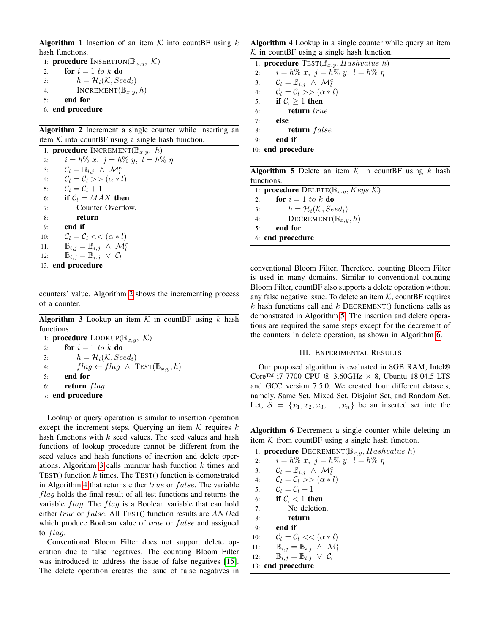<span id="page-2-0"></span>Algorithm 1 Insertion of an item  $K$  into countBF using  $k$ hash functions.

1: **procedure** INSERTION( $\mathbb{B}_{x,y}$ ,  $\mathcal{K}$ ) 2: for  $i = 1$  to k do 3:  $h = \mathcal{H}_i(\mathcal{K}, \mathit{Seed}_i)$ 4: INCREMENT $(\mathbb{B}_{x,y}, h)$ 5: end for 6: end procedure

<span id="page-2-1"></span>Algorithm 2 Increment a single counter while inserting an item  $K$  into countBF using a single hash function.

1: **procedure** INCREMENT( $\mathbb{B}_{x,y}$ , h) 2:  $i = h\% x, j = h\% y, l = h\% \eta$ 3:  $C_l = \mathbb{B}_{i,j} \wedge \mathcal{M}_l^e$ 4:  $C_l = C_l >> (\alpha * l)$ 5:  $C_l = C_l + 1$ 6: if  $C_l = MAX$  then 7: Counter Overflow. 8: return 9: end if 10:  $\mathcal{C}_l = \mathcal{C}_l \ll (\alpha * l)$ 11:  $\mathbb{B}_{i,j} = \mathbb{B}_{i,j} \wedge \mathcal{M}_l^r$ 12:  $\mathbb{B}_{i,j} = \mathbb{B}_{i,j} \vee C_l$ 13: end procedure

counters' value. Algorithm [2](#page-2-1) shows the incrementing process of a counter.

<span id="page-2-2"></span>**Algorithm 3** Lookup an item  $K$  in count BF using k hash functions.

1: **procedure**  $\text{LOOKUP}(\mathbb{B}_{x,y}, \mathcal{K})$ 2: for  $i = 1$  to k do 3:  $h = \mathcal{H}_i(\mathcal{K}, \mathit{Seed}_i)$ 4:  $flag \leftarrow flag \wedge \text{TEST}(\mathbb{B}_{x,y}, h)$ 5: end for 6: return  $flag$ 7: end procedure

Lookup or query operation is similar to insertion operation except the increment steps. Querying an item  $K$  requires  $k$ hash functions with  $k$  seed values. The seed values and hash functions of lookup procedure cannot be different from the seed values and hash functions of insertion and delete oper-ations. Algorithm [3](#page-2-2) calls murmur hash function  $k$  times and  $TEST()$  function  $k$  times. The TEST $()$  function is demonstrated in Algorithm [4](#page-2-3) that returns either  $true$  or  $false$ . The variable  $flag$  holds the final result of all test functions and returns the variable *flag*. The *flag* is a Boolean variable that can hold either true or  $false$ . All TEST() function results are  $ANDed$ which produce Boolean value of  $true$  or  $false$  and assigned to flag.

Conventional Bloom Filter does not support delete operation due to false negatives. The counting Bloom Filter was introduced to address the issue of false negatives [\[15\]](#page-8-9). The delete operation creates the issue of false negatives in <span id="page-2-3"></span>Algorithm 4 Lookup in a single counter while query an item  $K$  in countBF using a single hash function.

|    | 1: <b>procedure</b> $\text{TEST}(\mathbb{B}_{x,y}, Hashvalue h)$ |
|----|------------------------------------------------------------------|
| 2: | $i = h\% x, \ j = h\% y, \ l = h\% \eta$                         |
| 3: | $\mathcal{C}_l = \mathbb{B}_{i,j} \wedge \mathcal{M}_l^e$        |
| 4: | $C_l = C_l >> (\alpha * l)$                                      |
| 5: | if $C1 > 1$ then                                                 |
| 6: | return true                                                      |
| 7: | else                                                             |
| 8: | <b>return</b> false                                              |
| 9: | end if                                                           |
|    | 10: end procedure                                                |
|    |                                                                  |

<span id="page-2-4"></span>Algorithm 5 Delete an item  $K$  in countBF using  $k$  hash functions.

|    | 1: <b>procedure</b> DELETE( $\mathbb{B}_{x,y}$ , <i>Keys K</i> ) |
|----|------------------------------------------------------------------|
| 2: | for $i = 1$ to k do                                              |
| 3: | $h = \mathcal{H}_i(\mathcal{K}, \mathit{Seed}_i)$                |
| 4: | DECREMENT( $\mathbb{B}_{x,y}, h$ )                               |
| 5: | end for                                                          |
|    | 6: end procedure                                                 |

conventional Bloom Filter. Therefore, counting Bloom Filter is used in many domains. Similar to conventional counting Bloom Filter, countBF also supports a delete operation without any false negative issue. To delete an item  $K$ , countBF requires  $k$  hash functions call and  $k$  DECREMENT() functions calls as demonstrated in Algorithm [5.](#page-2-4) The insertion and delete operations are required the same steps except for the decrement of the counters in delete operation, as shown in Algorithm [6.](#page-2-5)

# III. EXPERIMENTAL RESULTS

Our proposed algorithm is evaluated in 8GB RAM, Intel® Core<sup>TM</sup> i7-7700 CPU @ 3.60GHz  $\times$  8, Ubuntu 18.04.5 LTS and GCC version 7.5.0. We created four different datasets, namely, Same Set, Mixed Set, Disjoint Set, and Random Set. Let,  $S = \{x_1, x_2, x_3, \ldots, x_n\}$  be an inserted set into the

<span id="page-2-5"></span>Algorithm 6 Decrement a single counter while deleting an item  $K$  from countBF using a single hash function.

|     | 1: <b>procedure</b> DECREMENT( $\mathbb{B}_{x,y}$ , <i>Hashvalue h</i> ) |
|-----|--------------------------------------------------------------------------|
| 2:  | $i = h\% x, \ j = h\% y, \ l = h\% \eta$                                 |
| 3:  | $\mathcal{C}_l = \mathbb{B}_{i,j} \wedge \mathcal{M}_l^e$                |
| 4:  | $C_l = C_l >> (\alpha * l)$                                              |
|     | 5: $C_l = C_l - 1$                                                       |
| 6:  | if $C_l < 1$ then                                                        |
| 7:  | No deletion.                                                             |
| 8:  | return                                                                   |
| 9:  | end if                                                                   |
| 10: | $\mathcal{C}_l = \mathcal{C}_l \ll (\alpha * l)$                         |
| 11: | $\mathbb{B}_{i,j} = \mathbb{B}_{i,j} \wedge \mathcal{M}_I^r$             |
| 12: | $\mathbb{B}_{i,j} = \mathbb{B}_{i,j} \vee C_l$                           |
|     | 13: end procedure                                                        |
|     |                                                                          |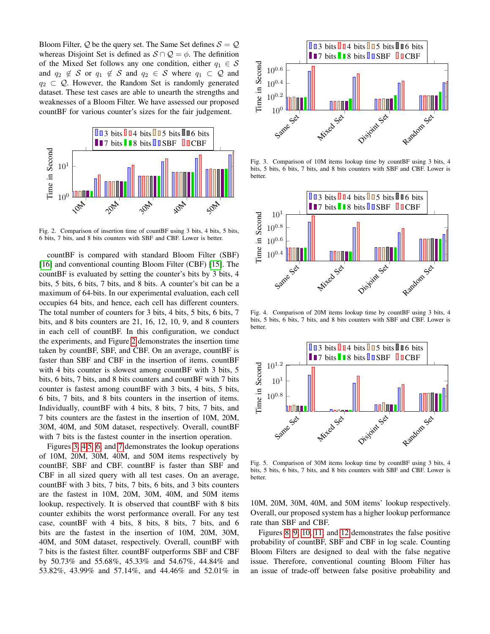Bloom Filter, Q be the query set. The Same Set defines  $S = Q$ whereas Disjoint Set is defined as  $S \cap Q = \phi$ . The definition of the Mixed Set follows any one condition, either  $q_1 \in S$ and  $q_2 \notin \mathcal{S}$  or  $q_1 \notin \mathcal{S}$  and  $q_2 \in \mathcal{S}$  where  $q_1 \subset \mathcal{Q}$  and  $q_2 \subset \mathcal{Q}$ . However, the Random Set is randomly generated dataset. These test cases are able to unearth the strengths and weaknesses of a Bloom Filter. We have assessed our proposed countBF for various counter's sizes for the fair judgement.



<span id="page-3-0"></span>Fig. 2. Comparison of insertion time of countBF using 3 bits, 4 bits, 5 bits, 6 bits, 7 bits, and 8 bits counters with SBF and CBF. Lower is better.

countBF is compared with standard Bloom Filter (SBF) [\[16\]](#page-8-10) and conventional counting Bloom Filter (CBF) [\[15\]](#page-8-9). The countBF is evaluated by setting the counter's bits by 3 bits, 4 bits, 5 bits, 6 bits, 7 bits, and 8 bits. A counter's bit can be a maximum of 64-bits. In our experimental evaluation, each cell occupies 64 bits, and hence, each cell has different counters. The total number of counters for 3 bits, 4 bits, 5 bits, 6 bits, 7 bits, and 8 bits counters are 21, 16, 12, 10, 9, and 8 counters in each cell of countBF. In this configuration, we conduct the experiments, and Figure [2](#page-3-0) demonstrates the insertion time taken by countBF, SBF, and CBF. On an average, countBF is faster than SBF and CBF in the insertion of items. countBF with 4 bits counter is slowest among countBF with 3 bits, 5 bits, 6 bits, 7 bits, and 8 bits counters and countBF with 7 bits counter is fastest among countBF with 3 bits, 4 bits, 5 bits, 6 bits, 7 bits, and 8 bits counters in the insertion of items. Individually, countBF with 4 bits, 8 bits, 7 bits, 7 bits, and 7 bits counters are the fastest in the insertion of 10M, 20M, 30M, 40M, and 50M dataset, respectively. Overall, countBF with 7 bits is the fastest counter in the insertion operation.

Figures [3,](#page-3-1) [4,](#page-3-2)[5,](#page-3-3) [6,](#page-4-0) and [7](#page-4-1) demonstrates the lookup operations of 10M, 20M, 30M, 40M, and 50M items respectively by countBF, SBF and CBF. countBF is faster than SBF and CBF in all sized query with all test cases. On an average, countBF with 3 bits, 7 bits, 7 bits, 6 bits, and 3 bits counters are the fastest in 10M, 20M, 30M, 40M, and 50M items lookup, respectively. It is observed that countBF with 8 bits counter exhibits the worst performance overall. For any test case, countBF with 4 bits, 8 bits, 8 bits, 7 bits, and 6 bits are the fastest in the insertion of 10M, 20M, 30M, 40M, and 50M dataset, respectively. Overall, countBF with 7 bits is the fastest filter. countBF outperforms SBF and CBF by 50.73% and 55.68%, 45.33% and 54.67%, 44.84% and 53.82%, 43.99% and 57.14%, and 44.46% and 52.01% in



<span id="page-3-1"></span>Fig. 3. Comparison of 10M items lookup time by countBF using 3 bits, 4 bits, 5 bits, 6 bits, 7 bits, and 8 bits counters with SBF and CBF. Lower is better.



<span id="page-3-2"></span>Fig. 4. Comparison of 20M items lookup time by countBF using 3 bits, 4 bits, 5 bits, 6 bits, 7 bits, and 8 bits counters with SBF and CBF. Lower is better.



<span id="page-3-3"></span>Fig. 5. Comparison of 30M items lookup time by countBF using 3 bits, 4 bits, 5 bits, 6 bits, 7 bits, and 8 bits counters with SBF and CBF. Lower is better.

10M, 20M, 30M, 40M, and 50M items' lookup respectively. Overall, our proposed system has a higher lookup performance rate than SBF and CBF.

Figures [8,](#page-4-2) [9,](#page-4-3) [10,](#page-4-4) [11,](#page-4-5) and [12](#page-4-6) demonstrates the false positive probability of countBF, SBF and CBF in log scale. Counting Bloom Filters are designed to deal with the false negative issue. Therefore, conventional counting Bloom Filter has an issue of trade-off between false positive probability and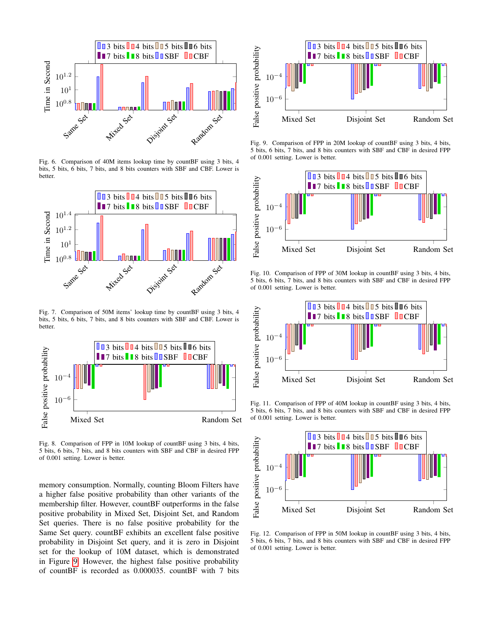

<span id="page-4-0"></span>Fig. 6. Comparison of 40M items lookup time by countBF using 3 bits, 4 bits, 5 bits, 6 bits, 7 bits, and 8 bits counters with SBF and CBF. Lower is better.



<span id="page-4-1"></span>Fig. 7. Comparison of 50M items' lookup time by countBF using 3 bits, 4 bits, 5 bits, 6 bits, 7 bits, and 8 bits counters with SBF and CBF. Lower is better.



<span id="page-4-2"></span>Fig. 8. Comparison of FPP in 10M lookup of countBF using 3 bits, 4 bits, 5 bits, 6 bits, 7 bits, and 8 bits counters with SBF and CBF in desired FPP of 0.001 setting. Lower is better.

memory consumption. Normally, counting Bloom Filters have a higher false positive probability than other variants of the membership filter. However, countBF outperforms in the false positive probability in Mixed Set, Disjoint Set, and Random Set queries. There is no false positive probability for the Same Set query. countBF exhibits an excellent false positive probability in Disjoint Set query, and it is zero in Disjoint set for the lookup of 10M dataset, which is demonstrated in Figure [9.](#page-4-3) However, the highest false positive probability of countBF is recorded as 0.000035. countBF with 7 bits



<span id="page-4-3"></span>Fig. 9. Comparison of FPP in 20M lookup of countBF using 3 bits, 4 bits, 5 bits, 6 bits, 7 bits, and 8 bits counters with SBF and CBF in desired FPP of 0.001 setting. Lower is better.



<span id="page-4-4"></span>Fig. 10. Comparison of FPP of 30M lookup in countBF using 3 bits, 4 bits, 5 bits, 6 bits, 7 bits, and 8 bits counters with SBF and CBF in desired FPP of 0.001 setting. Lower is better.



<span id="page-4-5"></span>Fig. 11. Comparison of FPP of 40M lookup in countBF using 3 bits, 4 bits, 5 bits, 6 bits, 7 bits, and 8 bits counters with SBF and CBF in desired FPP of 0.001 setting. Lower is better.



<span id="page-4-6"></span>Fig. 12. Comparison of FPP in 50M lookup in countBF using 3 bits, 4 bits, 5 bits, 6 bits, 7 bits, and 8 bits counters with SBF and CBF in desired FPP of 0.001 setting. Lower is better.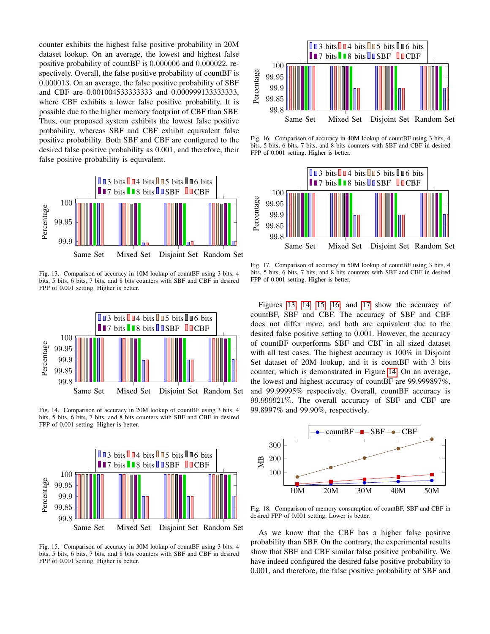counter exhibits the highest false positive probability in 20M dataset lookup. On an average, the lowest and highest false positive probability of countBF is 0.000006 and 0.000022, respectively. Overall, the false positive probability of countBF is 0.000013. On an average, the false positive probability of SBF and CBF are 0.001004533333333 and 0.000999133333333, where CBF exhibits a lower false positive probability. It is possible due to the higher memory footprint of CBF than SBF. Thus, our proposed system exhibits the lowest false positive probability, whereas SBF and CBF exhibit equivalent false positive probability. Both SBF and CBF are configured to the desired false positive probability as 0.001, and therefore, their false positive probability is equivalent.



<span id="page-5-0"></span>Fig. 13. Comparison of accuracy in 10M lookup of countBF using 3 bits, 4 bits, 5 bits, 6 bits, 7 bits, and 8 bits counters with SBF and CBF in desired FPP of 0.001 setting. Higher is better.



<span id="page-5-1"></span>Fig. 14. Comparison of accuracy in 20M lookup of countBF using 3 bits, 4 bits, 5 bits, 6 bits, 7 bits, and 8 bits counters with SBF and CBF in desired FPP of 0.001 setting. Higher is better.



<span id="page-5-2"></span>Fig. 15. Comparison of accuracy in 30M lookup of countBF using 3 bits, 4 bits, 5 bits, 6 bits, 7 bits, and 8 bits counters with SBF and CBF in desired FPP of 0.001 setting. Higher is better.



<span id="page-5-3"></span>Fig. 16. Comparison of accuracy in 40M lookup of countBF using 3 bits, 4 bits, 5 bits, 6 bits, 7 bits, and 8 bits counters with SBF and CBF in desired FPP of 0.001 setting. Higher is better.



<span id="page-5-4"></span>Fig. 17. Comparison of accuracy in 50M lookup of countBF using 3 bits, 4 bits, 5 bits, 6 bits, 7 bits, and 8 bits counters with SBF and CBF in desired FPP of 0.001 setting. Higher is better.

Figures [13,](#page-5-0) [14,](#page-5-1) [15,](#page-5-2) [16,](#page-5-3) and [17](#page-5-4) show the accuracy of countBF, SBF and CBF. The accuracy of SBF and CBF does not differ more, and both are equivalent due to the desired false positive setting to 0.001. However, the accuracy of countBF outperforms SBF and CBF in all sized dataset with all test cases. The highest accuracy is 100% in Disjoint Set dataset of 20M lookup, and it is countBF with 3 bits counter, which is demonstrated in Figure [14.](#page-5-1) On an average, the lowest and highest accuracy of countBF are 99.999897%, and 99.99995% respectively. Overall, countBF accuracy is 99.999921%. The overall accuracy of SBF and CBF are 99.8997% and 99.90%, respectively.



Fig. 18. Comparison of memory consumption of countBF, SBF and CBF in desired FPP of 0.001 setting. Lower is better.

As we know that the CBF has a higher false positive probability than SBF. On the contrary, the experimental results show that SBF and CBF similar false positive probability. We have indeed configured the desired false positive probability to 0.001, and therefore, the false positive probability of SBF and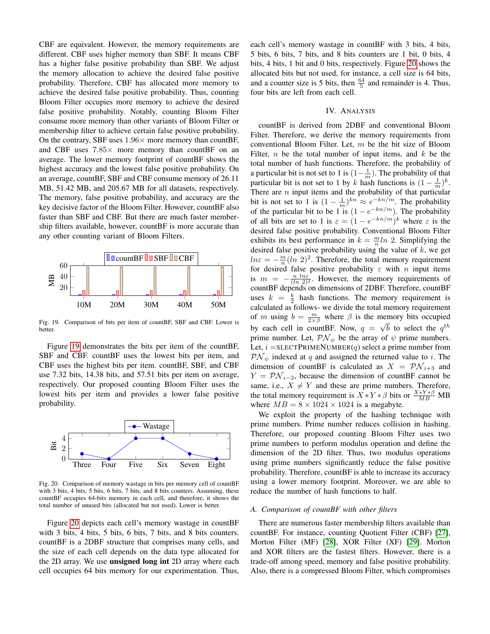CBF are equivalent. However, the memory requirements are different. CBF uses higher memory than SBF. It means CBF has a higher false positive probability than SBF. We adjust the memory allocation to achieve the desired false positive probability. Therefore, CBF has allocated more memory to achieve the desired false positive probability. Thus, counting Bloom Filter occupies more memory to achieve the desired false positive probability. Notably, counting Bloom Filter consume more memory than other variants of Bloom Filter or membership filter to achieve certain false positive probability. On the contrary, SBF uses  $1.96 \times$  more memory than countBF, and CBF uses  $7.85\times$  more memory than countBF on an average. The lower memory footprint of countBF shows the highest accuracy and the lowest false positive probability. On an average, countBF, SBF and CBF consume memory of 26.11 MB, 51.42 MB, and 205.67 MB for all datasets, respectively. The memory, false positive probability, and accuracy are the key decisive factor of the Bloom Filter. However, countBF also faster than SBF and CBF. But there are much faster membership filters available, however, countBF is more accurate than any other counting variant of Bloom Filters.



<span id="page-6-0"></span>Fig. 19. Comparison of bits per item of countBF, SBF and CBF. Lower is better.

Figure [19](#page-6-0) demonstrates the bits per item of the countBF, SBF and CBF. countBF uses the lowest bits per item, and CBF uses the highest bits per item. countBF, SBF, and CBF use 7.32 bits, 14.38 bits, and 57.51 bits per item on average, respectively. Our proposed counting Bloom Filter uses the lowest bits per item and provides a lower false positive probability.



<span id="page-6-1"></span>Fig. 20. Comparison of memory wastage in bits per memory cell of countBF with 3 bits, 4 bits, 5 bits, 6 bits, 7 bits, and 8 bits counters. Assuming, these countBF occupies 64-bits memory in each cell, and therefore, it shows the total number of unused bits (allocated but not used). Lower is better.

Figure [20](#page-6-1) depicts each cell's memory wastage in countBF with 3 bits, 4 bits, 5 bits, 6 bits, 7 bits, and 8 bits counters. countBF is a 2DBF structure that comprises many cells, and the size of each cell depends on the data type allocated for the 2D array. We use unsigned long int 2D array where each cell occupies 64 bits memory for our experimentation. Thus,

each cell's memory wastage in countBF with 3 bits, 4 bits, 5 bits, 6 bits, 7 bits, and 8 bits counters are 1 bit, 0 bits, 4 bits, 4 bits, 1 bit and 0 bits, respectively. Figure [20](#page-6-1) shows the allocated bits but not used, for instance, a cell size is 64 bits, and a counter size is 5 bits, then  $\frac{64}{5}$  and remainder is 4. Thus, four bits are left from each cell.

# IV. ANALYSIS

countBF is derived from 2DBF and conventional Bloom Filter. Therefore, we derive the memory requirements from conventional Bloom Filter. Let, m be the bit size of Bloom Filter,  $n$  be the total number of input items, and  $k$  be the total number of hash functions. Therefore, the probability of a particular bit is not set to 1 is  $(1 - \frac{1}{m})$ . The probability of that particular bit is not set to 1 by k hash functions is  $(1 - \frac{1}{m})^k$ . There are  $n$  input items and the probability of that particular bit is not set to 1 is  $(1 - \frac{1}{m})^{kn} \approx e^{-kn/m}$ . The probability of the particular bit to be 1 is  $(1 - e^{-kn/m})$ . The probability of all bits are set to 1 is  $\varepsilon = (1 - e^{-kn/m})^k$  where  $\varepsilon$  is the desired false positive probability. Conventional Bloom Filter exhibits its best performance in  $k = \frac{m}{n} \ln 2$ . Simplifying the desired false positive probability using the value of  $k$ , we get  $ln \varepsilon = -\frac{m}{n} (ln 2)^2$ . Therefore, the total memory requirement for desired false positive probability  $\varepsilon$  with n input items is  $m = -\frac{n \ln \varepsilon}{(\ln 2)^2}$ . However, the memory requirements of countBF depends on dimensions of 2DBF. Therefore, countBF uses  $k = \frac{k}{2}$  hash functions. The memory requirement is calculated as follows- we divide the total memory requirement of m using  $b = \frac{m}{2 \times \beta}$  where  $\beta$  is the memory bits occupied by each cell in countBF. Now,  $q = \sqrt{b}$  to select the  $q^{th}$ prime number. Let,  $\mathcal{PN}_{\psi}$  be the array of  $\psi$  prime numbers. Let,  $i =$ SLECTPRIMENUMBER $(q)$  select a prime number from  $\mathcal{PN}_{\psi}$  indexed at q and assigned the returned value to i. The dimension of countBF is calculated as  $X = \mathcal{PN}_{i+3}$  and  $Y = \mathcal{PN}_{i-3}$ , because the dimension of countBF cannot be same, i.e.,  $X \neq Y$  and these are prime numbers. Therefore, the total memory requirement is  $X * Y * \beta$  bits or  $\frac{X * Y * \beta}{MB}$  MB where  $MB = 8 \times 1024 \times 1024$  is a megabyte.

We exploit the property of the hashing technique with prime numbers. Prime number reduces collision in hashing. Therefore, our proposed counting Bloom Filter uses two prime numbers to perform modulus operation and define the dimension of the 2D filter. Thus, two modulus operations using prime numbers significantly reduce the false positive probability. Therefore, countBF is able to increase its accuracy using a lower memory footprint. Moreover, we are able to reduce the number of hash functions to half.

### *A. Comparison of countBF with other filters*

There are numerous faster membership filters available than countBF. For instance, counting Quotient Filter (CBF) [\[27\]](#page-8-20), Morton Filter (MF) [\[28\]](#page-8-21), XOR Filter (XF) [\[29\]](#page-8-22). Morton and XOR filters are the fastest filters. However, there is a trade-off among speed, memory and false positive probability. Also, there is a compressed Bloom Filter, which compromises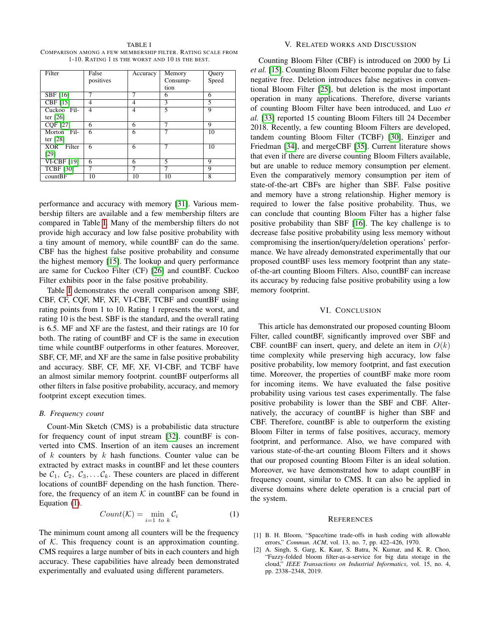<span id="page-7-2"></span>TABLE I COMPARISON AMONG A FEW MEMBERSHIP FILTER. RATING SCALE FROM 1-10. RATING 1 IS THE WORST AND 10 IS THE BEST.

| Filter             | False     | Accuracy       | Memory   | Query |
|--------------------|-----------|----------------|----------|-------|
|                    | positives |                | Consump- | Speed |
|                    |           |                | tion     |       |
| SBF [16]           | 7         | 7              | 6        | 6     |
| <b>CBF</b> [15]    | 4         | 4              | 3        | 5     |
| Cuckoo Fil-        | 4         | $\overline{4}$ | 5        | 9     |
| ter $[26]$         |           |                |          |       |
| <b>CQF [27]</b>    | 6         | 6              |          | 9     |
| Morton Fil-        | 6         | 6              |          | 10    |
| ter $[28]$         |           |                |          |       |
| XOR Filter         | 6         | 6              | 7        | 10    |
| [29]               |           |                |          |       |
| <b>VI-CBF</b> [19] | 6         | 6              | 5        | 9     |
| <b>TCBF [30]</b>   | 7         |                |          | 9     |
| countBF            | 10        | 10             | 10       | 8     |

performance and accuracy with memory [\[31\]](#page-8-25). Various membership filters are available and a few membership filters are compared in Table [I.](#page-7-2) Many of the membership filters do not provide high accuracy and low false positive probability with a tiny amount of memory, while countBF can do the same. CBF has the highest false positive probability and consume the highest memory [\[15\]](#page-8-9). The lookup and query performance are same for Cuckoo Filter (CF) [\[26\]](#page-8-23) and countBF. Cuckoo Filter exhibits poor in the false positive probability.

Table [I](#page-7-2) demonstrates the overall comparison among SBF, CBF, CF, CQF, MF, XF, VI-CBF, TCBF and countBF using rating points from 1 to 10. Rating 1 represents the worst, and rating 10 is the best. SBF is the standard, and the overall rating is 6.5. MF and XF are the fastest, and their ratings are 10 for both. The rating of countBF and CF is the same in execution time while countBF outperforms in other features. Moreover, SBF, CF, MF, and XF are the same in false positive probability and accuracy. SBF, CF, MF, XF, VI-CBF, and TCBF have an almost similar memory footprint. countBF outperforms all other filters in false positive probability, accuracy, and memory footprint except execution times.

#### *B. Frequency count*

Count-Min Sketch (CMS) is a probabilistic data structure for frequency count of input stream [\[32\]](#page-8-26). countBF is converted into CMS. Insertion of an item causes an increment of  $k$  counters by  $k$  hash functions. Counter value can be extracted by extract masks in countBF and let these counters be  $C_1$ ,  $C_2$ ,  $C_3$ , ...  $C_k$ . These counters are placed in different locations of countBF depending on the hash function. Therefore, the frequency of an item  $K$  in count BF can be found in Equation [\(1\)](#page-7-3).

<span id="page-7-3"></span>
$$
Count(\mathcal{K}) = \min_{i=1 \text{ to } k} \mathcal{C}_i
$$
 (1)

The minimum count among all counters will be the frequency of  $K$ . This frequency count is an approximation counting. CMS requires a large number of bits in each counters and high accuracy. These capabilities have already been demonstrated experimentally and evaluated using different parameters.

# V. RELATED WORKS AND DISCUSSION

Counting Bloom Filter (CBF) is introduced on 2000 by Li *et al.* [\[15\]](#page-8-9). Counting Bloom Filter become popular due to false negative free. Deletion introduces false negatives in conventional Bloom Filter [\[25\]](#page-8-19), but deletion is the most important operation in many applications. Therefore, diverse variants of counting Bloom Filter have been introduced, and Luo *et al.* [\[33\]](#page-8-27) reported 15 counting Bloom Filters till 24 December 2018. Recently, a few counting Bloom Filters are developed, tandem counting Bloom Filter (TCBF) [\[30\]](#page-8-24), Einziger and Friedman [\[34\]](#page-8-28), and mergeCBF [\[35\]](#page-8-29). Current literature shows that even if there are diverse counting Bloom Filters available, but are unable to reduce memory consumption per element. Even the comparatively memory consumption per item of state-of-the-art CBFs are higher than SBF. False positive and memory have a strong relationship. Higher memory is required to lower the false positive probability. Thus, we can conclude that counting Bloom Filter has a higher false positive probability than SBF [\[16\]](#page-8-10). The key challenge is to decrease false positive probability using less memory without compromising the insertion/query/deletion operations' performance. We have already demonstrated experimentally that our proposed countBF uses less memory footprint than any stateof-the-art counting Bloom Filters. Also, countBF can increase its accuracy by reducing false positive probability using a low memory footprint.

## VI. CONCLUSION

This article has demonstrated our proposed counting Bloom Filter, called countBF, significantly improved over SBF and CBF. countBF can insert, query, and delete an item in  $O(k)$ time complexity while preserving high accuracy, low false positive probability, low memory footprint, and fast execution time. Moreover, the properties of countBF make more room for incoming items. We have evaluated the false positive probability using various test cases experimentally. The false positive probability is lower than the SBF and CBF. Alternatively, the accuracy of countBF is higher than SBF and CBF. Therefore, countBF is able to outperform the existing Bloom Filter in terms of false positives, accuracy, memory footprint, and performance. Also, we have compared with various state-of-the-art counting Bloom Filters and it shows that our proposed counting Bloom Filter is an ideal solution. Moreover, we have demonstrated how to adapt countBF in frequency count, similar to CMS. It can also be applied in diverse domains where delete operation is a crucial part of the system.

#### **REFERENCES**

- <span id="page-7-0"></span>[1] B. H. Bloom, "Space/time trade-offs in hash coding with allowable errors," *Commun. ACM*, vol. 13, no. 7, pp. 422–426, 1970.
- <span id="page-7-1"></span>[2] A. Singh, S. Garg, K. Kaur, S. Batra, N. Kumar, and K. R. Choo, "Fuzzy-folded bloom filter-as-a-service for big data storage in the cloud," *IEEE Transactions on Industrial Informatics*, vol. 15, no. 4, pp. 2338–2348, 2019.